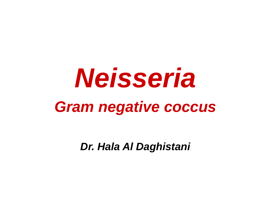# *Neisseria Gram negative coccus*

*Dr. Hala Al Daghistani*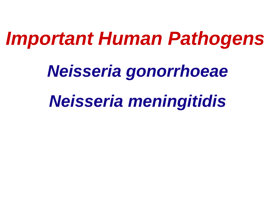# *Important Human Pathogens*

*Neisseria gonorrhoeae*

*Neisseria meningitidis*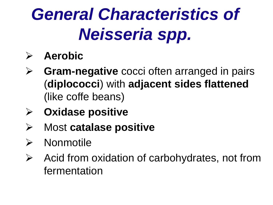# *General Characteristics of Neisseria spp.*

#### **Aerobic**

- **Gram-negative** cocci often arranged in pairs (**diplococci**) with **adjacent sides flattened** (like coffe beans)
- **Oxidase positive**
- Most **catalase positive**
- $\triangleright$  Nonmotile
- $\triangleright$  Acid from oxidation of carbohydrates, not from fermentation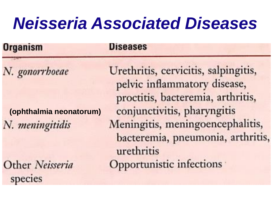# *Neisseria Associated Diseases*

| <b>Organism</b>         | <b>Diseases</b>                                                                                           |
|-------------------------|-----------------------------------------------------------------------------------------------------------|
| N. gonorrhoeae          | Urethritis, cervicitis, salpingitis,<br>pelvic inflammatory disease,<br>proctitis, bacteremia, arthritis, |
| (ophthalmia neonatorum) | conjunctivitis, pharyngitis                                                                               |
| N. meningitidis         | Meningitis, meningoencephalitis<br>bacteremia, pneumonia, arthri                                          |

Other Neisseria species

urethritis Opportunistic infections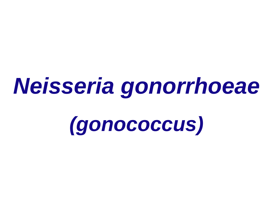# *Neisseria gonorrhoeae*

*(gonococcus)*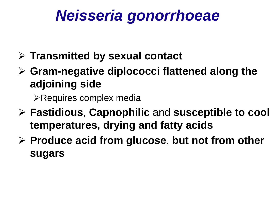## *Neisseria gonorrhoeae*

- **Transmitted by sexual contact**
- **Gram-negative diplococci flattened along the adjoining side**

Requires complex media

- **Fastidious**, **Capnophilic** and **susceptible to cool temperatures, drying and fatty acids**
- **Produce acid from glucose**, **but not from other sugars**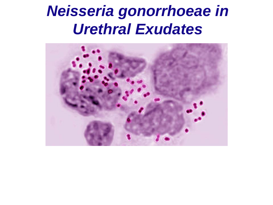### *Neisseria gonorrhoeae in Urethral Exudates*

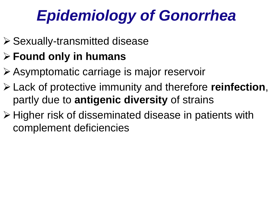# *Epidemiology of Gonorrhea*

- Sexually-transmitted disease
- **Found only in humans**
- Asymptomatic carriage is major reservoir
- Lack of protective immunity and therefore **reinfection**, partly due to **antigenic diversity** of strains
- **≻ Higher risk of disseminated disease in patients with** complement deficiencies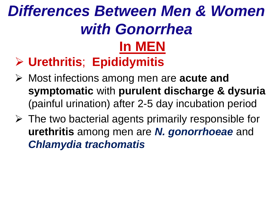### **In MEN Urethritis**; **Epididymitis** *Differences Between Men & Women with Gonorrhea*

- Most infections among men are **acute and symptomatic** with **purulent discharge & dysuria** (painful urination) after 2-5 day incubation period
- $\triangleright$  The two bacterial agents primarily responsible for **urethritis** among men are *N. gonorrhoeae* and *Chlamydia trachomatis*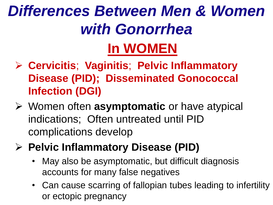## *Differences Between Men & Women with Gonorrhea*  **In WOMEN**

- **Cervicitis**; **Vaginitis**; **Pelvic Inflammatory Disease (PID); Disseminated Gonococcal Infection (DGI)**
- Women often **asymptomatic** or have atypical indications; Often untreated until PID complications develop
- **Pelvic Inflammatory Disease (PID)**
	- May also be asymptomatic, but difficult diagnosis accounts for many false negatives
	- Can cause scarring of fallopian tubes leading to infertility or ectopic pregnancy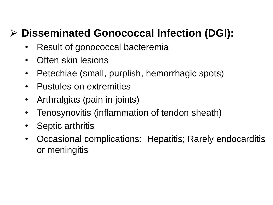#### **Disseminated Gonococcal Infection (DGI):**

- Result of gonococcal bacteremia
- Often skin lesions
- Petechiae (small, purplish, hemorrhagic spots)
- Pustules on extremities
- Arthralgias (pain in joints)
- Tenosynovitis (inflammation of tendon sheath)
- Septic arthritis
- Occasional complications: Hepatitis; Rarely endocarditis or meningitis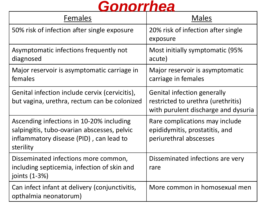#### *Gonorrhea*

| Females                                                                                                                                         | <b>Males</b>                                                                                                    |
|-------------------------------------------------------------------------------------------------------------------------------------------------|-----------------------------------------------------------------------------------------------------------------|
| 50% risk of infection after single exposure                                                                                                     | 20% risk of infection after single<br>exposure                                                                  |
| Asymptomatic infections frequently not<br>diagnosed                                                                                             | Most initially symptomatic (95%<br>acute)                                                                       |
| Major reservoir is asymptomatic carriage in<br>females                                                                                          | Major reservoir is asymptomatic<br>carriage in females                                                          |
| Genital infection include cervix (cervicitis),<br>but vagina, urethra, rectum can be colonized                                                  | <b>Genital infection generally</b><br>restricted to urethra (urethritis)<br>with purulent discharge and dysuria |
| Ascending infections in 10-20% including<br>salpingitis, tubo-ovarian abscesses, pelvic<br>inflammatory disease (PID), can lead to<br>sterility | Rare complications may include<br>epididymitis, prostatitis, and<br>periurethral abscesses                      |
| Disseminated infections more common,<br>including septicemia, infection of skin and<br>joints (1-3%)                                            | Disseminated infections are very<br>rare                                                                        |
| Can infect infant at delivery (conjunctivitis,<br>opthalmia neonatorum)                                                                         | More common in homosexual men                                                                                   |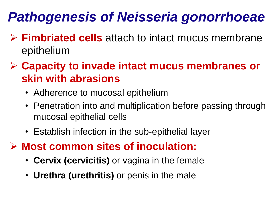### *Pathogenesis of Neisseria gonorrhoeae*

- **Fimbriated cells** attach to intact mucus membrane epithelium
- **Capacity to invade intact mucus membranes or skin with abrasions**
	- Adherence to mucosal epithelium
	- Penetration into and multiplication before passing through mucosal epithelial cells
	- Establish infection in the sub-epithelial layer
- **Most common sites of inoculation:**
	- **Cervix (cervicitis)** or vagina in the female
	- **Urethra (urethritis)** or penis in the male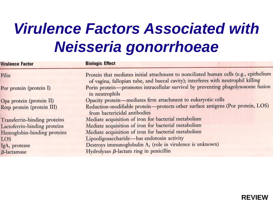# *Virulence Factors Associated with Neisseria gonorrhoeae*

| <b>Virulence Factor</b>      | <b>Biologic Effect</b>                                                                                                                                                     |  |
|------------------------------|----------------------------------------------------------------------------------------------------------------------------------------------------------------------------|--|
| Pilin                        | Protein that mediates initial attachment to nonciliated human cells (e.g., epithelium<br>of vagina, fallopian tube, and buccal cavity); interferes with neutrophil killing |  |
| Por protein (protein I)      | Porin protein-promotes intracellular survival by preventing phagolysosome fusion<br>in neutrophils                                                                         |  |
| Opa protein (protein II)     | Opacity protein-mediates firm attachment to eukaryotic cells                                                                                                               |  |
| Rmp protein (protein III)    | Reduction-modifiable protein-protects other surface antigens (Por protein, LOS)<br>from bactericidal antibodies                                                            |  |
| Transferrin-binding proteins | Mediate acquisition of iron for bacterial metabolism                                                                                                                       |  |
| Lactoferrin-binding proteins | Mediate acquisition of iron for bacterial metabolism                                                                                                                       |  |
| Hemoglobin-binding proteins  | Mediate acquisition of iron for bacterial metabolism                                                                                                                       |  |
| LOS                          | Lipooligosaccharide-has endotoxin activity                                                                                                                                 |  |
| IgA <sub>1</sub> protease    | Destroys immunoglobulin A <sub>1</sub> (role in virulence is unknown)                                                                                                      |  |
| $\beta$ -lactamase           | Hydrolyzes $\beta$ -lactam ring in penicillin                                                                                                                              |  |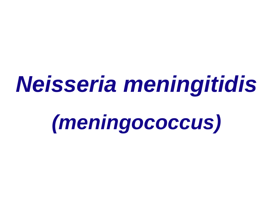# *Neisseria meningitidis*

*(meningococcus)*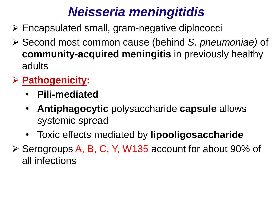#### *Neisseria meningitidis*

- Encapsulated small, gram-negative diplococci
- Second most common cause (behind *S. pneumoniae)* of **community-acquired meningitis** in previously healthy adults

#### **Pathogenicity:**

- **Pili-mediated**
- **Antiphagocytic** polysaccharide **capsule** allows systemic spread
- Toxic effects mediated by **lipooligosaccharide**
- ▶ Serogroups A, B, C, Y, W135 account for about 90% of all infections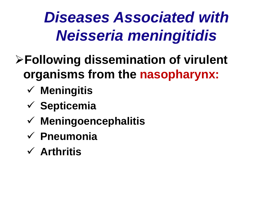# *Diseases Associated with Neisseria meningitidis*

- **Following dissemination of virulent organisms from the nasopharynx:**
	- **Meningitis**
	- **Septicemia**
	- **Meningoencephalitis**
	- **Pneumonia**
	- **Arthritis**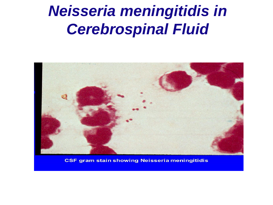## *[Neisseria meningitidis in](http://slideplayer.com/slide/9375853/)  Cerebrospinal Fluid*



**CSF gram stain showing Neisseria meningitidis**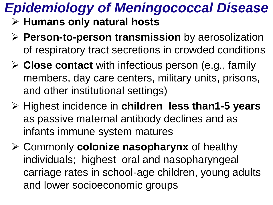# *Epidemiology of Meningococcal Disease*

- **Humans only natural hosts**
- **Person-to-person transmission** by aerosolization of respiratory tract secretions in crowded conditions
- **Close contact** with infectious person (e.g., family members, day care centers, military units, prisons, and other institutional settings)
- **≻ Highest incidence in children less than1-5 years** as passive maternal antibody declines and as infants immune system matures
- Commonly **colonize nasopharynx** of healthy individuals; highest oral and nasopharyngeal carriage rates in school-age children, young adults and lower socioeconomic groups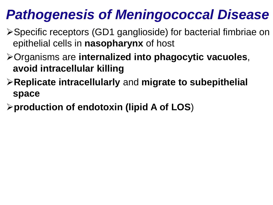#### *Pathogenesis of Meningococcal Disease*

- Specific receptors (GD1 ganglioside) for bacterial fimbriae on epithelial cells in **nasopharynx** of host
- Organisms are **internalized into phagocytic vacuoles**, **avoid intracellular killing**
- **Replicate intracellularly** and **migrate to subepithelial space**
- **production of endotoxin (lipid A of LOS**)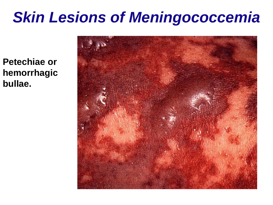## *Skin Lesions of Meningococcemia*

**Petechiae or hemorrhagic bullae.**